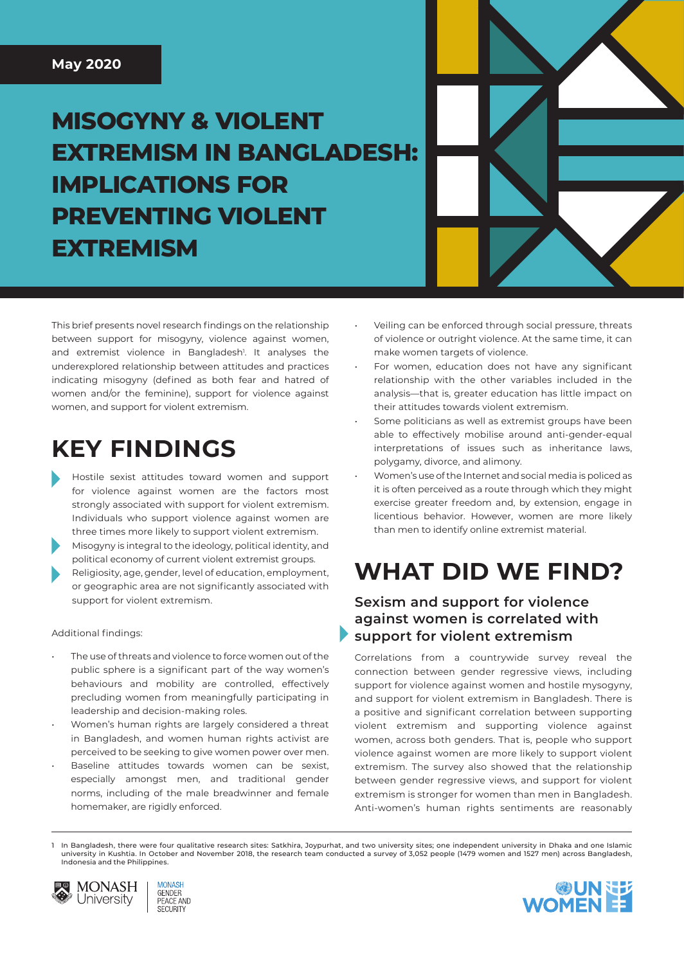# **MISOGYNY & VIOLENT EXTREMISM IN BANGLADESH: IMPLICATIONS FOR PREVENTING VIOLENT EXTREMISM**

This brief presents novel research findings on the relationship between support for misogyny, violence against women, and extremist violence in Bangladesh<sup>1</sup>. It analyses the underexplored relationship between attitudes and practices indicating misogyny (defined as both fear and hatred of women and/or the feminine), support for violence against women, and support for violent extremism.

## **KEY FINDINGS**

- Hostile sexist attitudes toward women and support for violence against women are the factors most strongly associated with support for violent extremism. Individuals who support violence against women are three times more likely to support violent extremism.
- 2. Misogyny is integral to the ideology, political identity, and political economy of current violent extremist groups.
- Religiosity, age, gender, level of education, employment, or geographic area are not significantly associated with support for violent extremism.

#### Additional findings:

- The use of threats and violence to force women out of the public sphere is a significant part of the way women's behaviours and mobility are controlled, effectively precluding women from meaningfully participating in leadership and decision-making roles.
- Women's human rights are largely considered a threat in Bangladesh, and women human rights activist are perceived to be seeking to give women power over men.
- Baseline attitudes towards women can be sexist, especially amongst men, and traditional gender norms, including of the male breadwinner and female homemaker, are rigidly enforced.
- Veiling can be enforced through social pressure, threats of violence or outright violence. At the same time, it can make women targets of violence.
- For women, education does not have any significant relationship with the other variables included in the analysis—that is, greater education has little impact on their attitudes towards violent extremism.
- Some politicians as well as extremist groups have been able to effectively mobilise around anti-gender-equal interpretations of issues such as inheritance laws, polygamy, divorce, and alimony.
- Women's use of the Internet and social media is policed as it is often perceived as a route through which they might exercise greater freedom and, by extension, engage in licentious behavior. However, women are more likely than men to identify online extremist material.

## **WHAT DID WE FIND?**

#### **Sexism and support for violence against women is correlated with support for violent extremism**

Correlations from a countrywide survey reveal the connection between gender regressive views, including support for violence against women and hostile mysogyny, and support for violent extremism in Bangladesh. There is a positive and significant correlation between supporting violent extremism and supporting violence against women, across both genders. That is, people who support violence against women are more likely to support violent extremism. The survey also showed that the relationship between gender regressive views, and support for violent extremism is stronger for women than men in Bangladesh. Anti-women's human rights sentiments are reasonably

In Bangladesh, there were four qualitative research sites: Satkhira, Joypurhat, and two university sites; one independent university in Dhaka and one Islamic university in Kushtia. In October and November 2018, the research team conducted a survey of 3,052 people (1479 women and 1527 men) across Bangladesh, Indonesia and the Philippines.



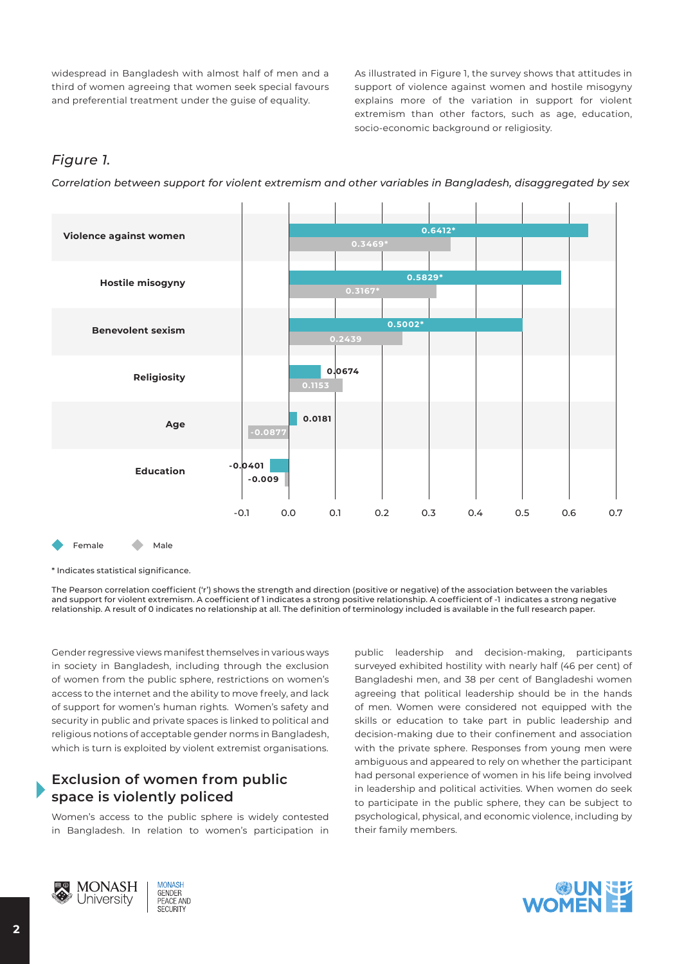widespread in Bangladesh with almost half of men and a third of women agreeing that women seek special favours and preferential treatment under the guise of equality.

As illustrated in Figure 1, the survey shows that attitudes in support of violence against women and hostile misogyny explains more of the variation in support for violent extremism than other factors, such as age, education, socio-economic background or religiosity.

#### *Figure 1.*

*Correlation between support for violent extremism and other variables in Bangladesh, disaggregated by sex*



Female Male

\* Indicates statistical significance.

The Pearson correlation coefficient ('r') shows the strength and direction (positive or negative) of the association between the variables and support for violent extremism. A coefficient of 1 indicates a strong positive relationship. A coefficient of -1 indicates a strong negative relationship. A result of 0 indicates no relationship at all. The definition of terminology included is available in the full research paper.

Gender regressive views manifest themselves in various ways in society in Bangladesh, including through the exclusion of women from the public sphere, restrictions on women's access to the internet and the ability to move freely, and lack of support for women's human rights. Women's safety and security in public and private spaces is linked to political and religious notions of acceptable gender norms in Bangladesh, which is turn is exploited by violent extremist organisations.

### **Exclusion of women from public space is violently policed**

Women's access to the public sphere is widely contested in Bangladesh. In relation to women's participation in public leadership and decision-making, participants surveyed exhibited hostility with nearly half (46 per cent) of Bangladeshi men, and 38 per cent of Bangladeshi women agreeing that political leadership should be in the hands of men. Women were considered not equipped with the skills or education to take part in public leadership and decision-making due to their confinement and association with the private sphere. Responses from young men were ambiguous and appeared to rely on whether the participant had personal experience of women in his life being involved in leadership and political activities. When women do seek to participate in the public sphere, they can be subject to psychological, physical, and economic violence, including by their family members.



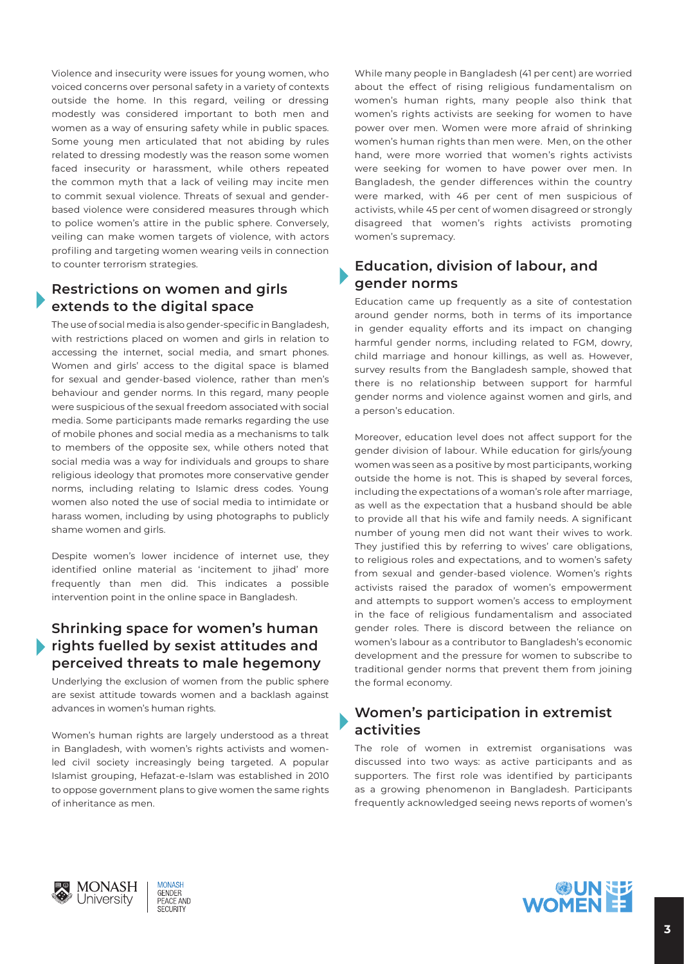Violence and insecurity were issues for young women, who voiced concerns over personal safety in a variety of contexts outside the home. In this regard, veiling or dressing modestly was considered important to both men and women as a way of ensuring safety while in public spaces. Some young men articulated that not abiding by rules related to dressing modestly was the reason some women faced insecurity or harassment, while others repeated the common myth that a lack of veiling may incite men to commit sexual violence. Threats of sexual and genderbased violence were considered measures through which to police women's attire in the public sphere. Conversely, veiling can make women targets of violence, with actors profiling and targeting women wearing veils in connection to counter terrorism strategies.

### **Restrictions on women and girls extends to the digital space**

The use of social media is also gender-specific in Bangladesh, with restrictions placed on women and girls in relation to accessing the internet, social media, and smart phones. Women and girls' access to the digital space is blamed for sexual and gender-based violence, rather than men's behaviour and gender norms. In this regard, many people were suspicious of the sexual freedom associated with social media. Some participants made remarks regarding the use of mobile phones and social media as a mechanisms to talk to members of the opposite sex, while others noted that social media was a way for individuals and groups to share religious ideology that promotes more conservative gender norms, including relating to Islamic dress codes. Young women also noted the use of social media to intimidate or harass women, including by using photographs to publicly shame women and girls.

Despite women's lower incidence of internet use, they identified online material as 'incitement to jihad' more frequently than men did. This indicates a possible intervention point in the online space in Bangladesh.

#### **Shrinking space for women's human rights fuelled by sexist attitudes and perceived threats to male hegemony**

Underlying the exclusion of women from the public sphere are sexist attitude towards women and a backlash against advances in women's human rights.

Women's human rights are largely understood as a threat in Bangladesh, with women's rights activists and womenled civil society increasingly being targeted. A popular Islamist grouping, Hefazat-e-Islam was established in 2010 to oppose government plans to give women the same rights of inheritance as men.

While many people in Bangladesh (41 per cent) are worried about the effect of rising religious fundamentalism on women's human rights, many people also think that women's rights activists are seeking for women to have power over men. Women were more afraid of shrinking women's human rights than men were. Men, on the other hand, were more worried that women's rights activists were seeking for women to have power over men. In Bangladesh, the gender differences within the country were marked, with 46 per cent of men suspicious of activists, while 45 per cent of women disagreed or strongly disagreed that women's rights activists promoting women's supremacy.

#### **Education, division of labour, and gender norms**

Education came up frequently as a site of contestation around gender norms, both in terms of its importance in gender equality efforts and its impact on changing harmful gender norms, including related to FGM, dowry, child marriage and honour killings, as well as. However, survey results from the Bangladesh sample, showed that there is no relationship between support for harmful gender norms and violence against women and girls, and a person's education.

Moreover, education level does not affect support for the gender division of labour. While education for girls/young women was seen as a positive by most participants, working outside the home is not. This is shaped by several forces, including the expectations of a woman's role after marriage, as well as the expectation that a husband should be able to provide all that his wife and family needs. A significant number of young men did not want their wives to work. They justified this by referring to wives' care obligations, to religious roles and expectations, and to women's safety from sexual and gender-based violence. Women's rights activists raised the paradox of women's empowerment and attempts to support women's access to employment in the face of religious fundamentalism and associated gender roles. There is discord between the reliance on women's labour as a contributor to Bangladesh's economic development and the pressure for women to subscribe to traditional gender norms that prevent them from joining the formal economy.

### **Women's participation in extremist activities**

The role of women in extremist organisations was discussed into two ways: as active participants and as supporters. The first role was identified by participants as a growing phenomenon in Bangladesh. Participants frequently acknowledged seeing news reports of women's